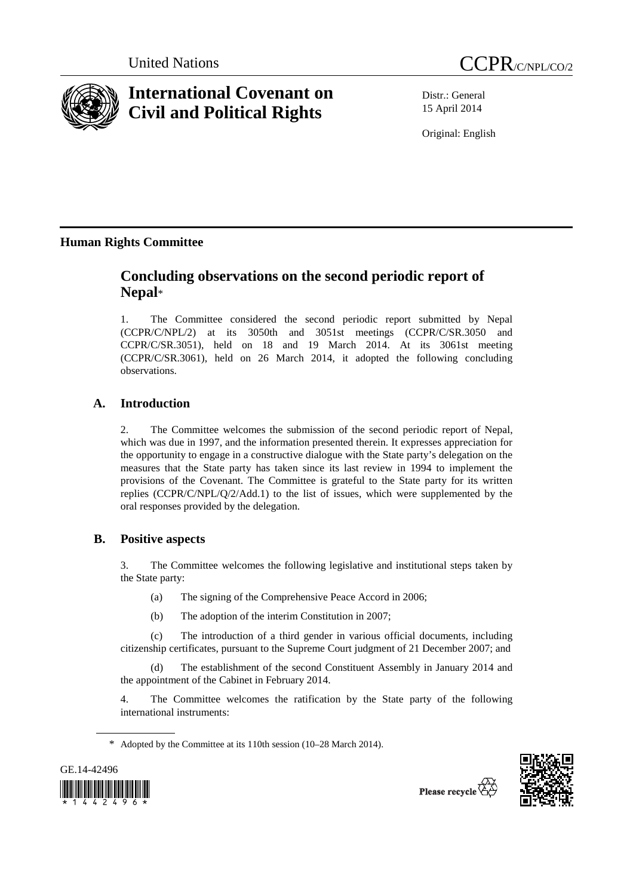



# **International Covenant on Civil and Political Rights**

Distr.: General 15 April 2014

Original: English

## **Human Rights Committee**

# **Concluding observations on the second periodic report of Nepal**\*

1. The Committee considered the second periodic report submitted by Nepal (CCPR/C/NPL/2) at its 3050th and 3051st meetings (CCPR/C/SR.3050 and CCPR/C/SR.3051), held on 18 and 19 March 2014. At its 3061st meeting (CCPR/C/SR.3061), held on 26 March 2014, it adopted the following concluding observations.

### **A. Introduction**

2. The Committee welcomes the submission of the second periodic report of Nepal, which was due in 1997, and the information presented therein. It expresses appreciation for the opportunity to engage in a constructive dialogue with the State party's delegation on the measures that the State party has taken since its last review in 1994 to implement the provisions of the Covenant. The Committee is grateful to the State party for its written replies (CCPR/C/NPL/Q/2/Add.1) to the list of issues, which were supplemented by the oral responses provided by the delegation.

### **B. Positive aspects**

3. The Committee welcomes the following legislative and institutional steps taken by the State party:

- (a) The signing of the Comprehensive Peace Accord in 2006;
- (b) The adoption of the interim Constitution in 2007;

(c) The introduction of a third gender in various official documents, including citizenship certificates, pursuant to the Supreme Court judgment of 21 December 2007; and

The establishment of the second Constituent Assembly in January 2014 and the appointment of the Cabinet in February 2014.

4. The Committee welcomes the ratification by the State party of the following international instruments:

\* Adopted by the Committee at its 110th session (10–28 March 2014).



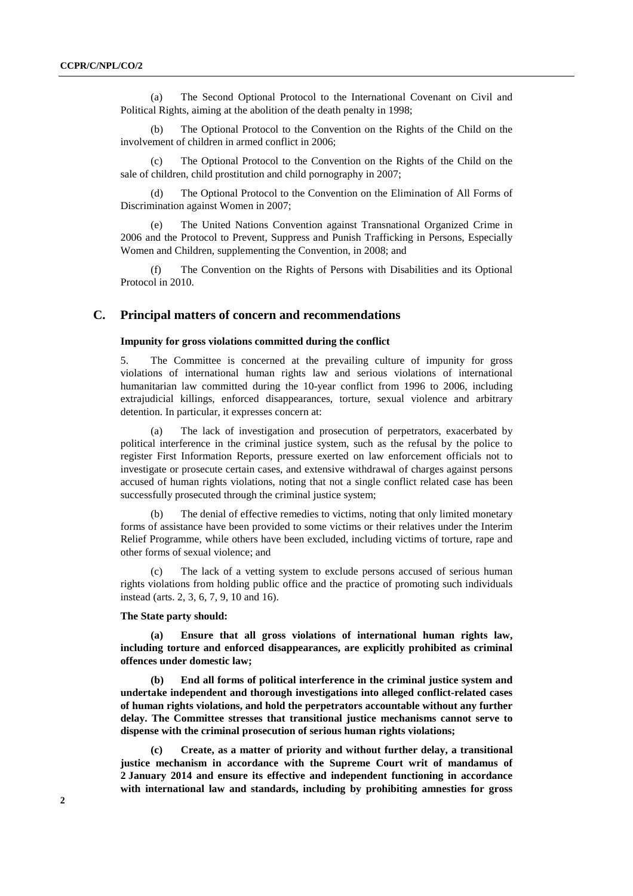(a) The Second Optional Protocol to the International Covenant on Civil and Political Rights, aiming at the abolition of the death penalty in 1998;

(b) The Optional Protocol to the Convention on the Rights of the Child on the involvement of children in armed conflict in 2006;

The Optional Protocol to the Convention on the Rights of the Child on the sale of children, child prostitution and child pornography in 2007;

(d) The Optional Protocol to the Convention on the Elimination of All Forms of Discrimination against Women in 2007;

(e) The United Nations Convention against Transnational Organized Crime in 2006 and the Protocol to Prevent, Suppress and Punish Trafficking in Persons, Especially Women and Children, supplementing the Convention, in 2008; and

(f) The Convention on the Rights of Persons with Disabilities and its Optional Protocol in 2010.

### **C. Principal matters of concern and recommendations**

#### **Impunity for gross violations committed during the conflict**

5. The Committee is concerned at the prevailing culture of impunity for gross violations of international human rights law and serious violations of international humanitarian law committed during the 10-year conflict from 1996 to 2006, including extrajudicial killings, enforced disappearances, torture, sexual violence and arbitrary detention. In particular, it expresses concern at:

(a) The lack of investigation and prosecution of perpetrators, exacerbated by political interference in the criminal justice system, such as the refusal by the police to register First Information Reports, pressure exerted on law enforcement officials not to investigate or prosecute certain cases, and extensive withdrawal of charges against persons accused of human rights violations, noting that not a single conflict related case has been successfully prosecuted through the criminal justice system;

The denial of effective remedies to victims, noting that only limited monetary forms of assistance have been provided to some victims or their relatives under the Interim Relief Programme, while others have been excluded, including victims of torture, rape and other forms of sexual violence; and

(c) The lack of a vetting system to exclude persons accused of serious human rights violations from holding public office and the practice of promoting such individuals instead (arts. 2, 3, 6, 7, 9, 10 and 16).

#### **The State party should:**

**(a) Ensure that all gross violations of international human rights law, including torture and enforced disappearances, are explicitly prohibited as criminal offences under domestic law;** 

**(b) End all forms of political interference in the criminal justice system and undertake independent and thorough investigations into alleged conflict-related cases of human rights violations, and hold the perpetrators accountable without any further delay. The Committee stresses that transitional justice mechanisms cannot serve to dispense with the criminal prosecution of serious human rights violations;** 

**(c) Create, as a matter of priority and without further delay, a transitional justice mechanism in accordance with the Supreme Court writ of mandamus of 2 January 2014 and ensure its effective and independent functioning in accordance with international law and standards, including by prohibiting amnesties for gross**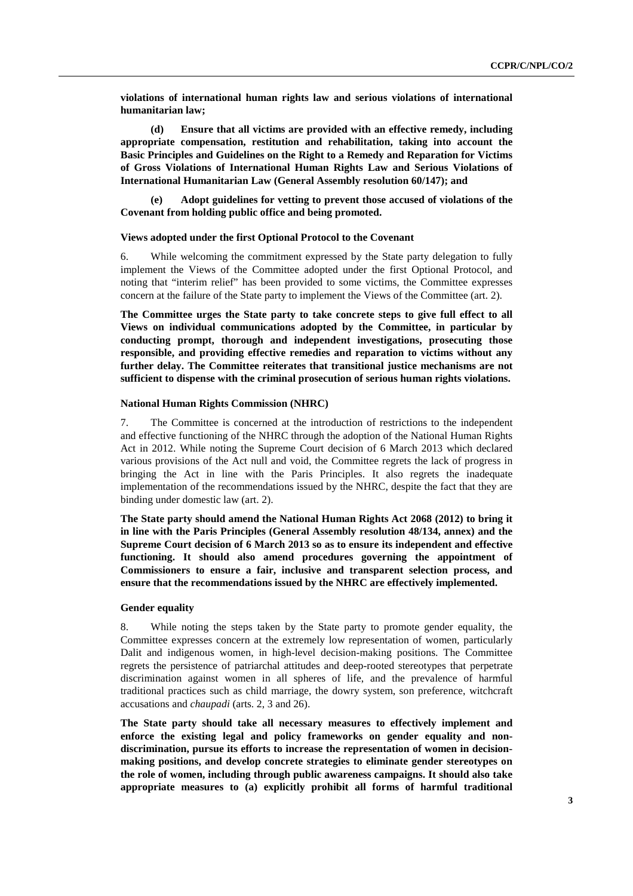**violations of international human rights law and serious violations of international humanitarian law;** 

**(d) Ensure that all victims are provided with an effective remedy, including appropriate compensation, restitution and rehabilitation, taking into account the Basic Principles and Guidelines on the Right to a Remedy and Reparation for Victims of Gross Violations of International Human Rights Law and Serious Violations of International Humanitarian Law (General Assembly resolution 60/147); and** 

**(e) Adopt guidelines for vetting to prevent those accused of violations of the Covenant from holding public office and being promoted.** 

#### **Views adopted under the first Optional Protocol to the Covenant**

6. While welcoming the commitment expressed by the State party delegation to fully implement the Views of the Committee adopted under the first Optional Protocol, and noting that "interim relief" has been provided to some victims, the Committee expresses concern at the failure of the State party to implement the Views of the Committee (art. 2).

**The Committee urges the State party to take concrete steps to give full effect to all Views on individual communications adopted by the Committee, in particular by conducting prompt, thorough and independent investigations, prosecuting those responsible, and providing effective remedies and reparation to victims without any further delay. The Committee reiterates that transitional justice mechanisms are not sufficient to dispense with the criminal prosecution of serious human rights violations.** 

#### **National Human Rights Commission (NHRC)**

7. The Committee is concerned at the introduction of restrictions to the independent and effective functioning of the NHRC through the adoption of the National Human Rights Act in 2012. While noting the Supreme Court decision of 6 March 2013 which declared various provisions of the Act null and void, the Committee regrets the lack of progress in bringing the Act in line with the Paris Principles. It also regrets the inadequate implementation of the recommendations issued by the NHRC, despite the fact that they are binding under domestic law (art. 2).

**The State party should amend the National Human Rights Act 2068 (2012) to bring it in line with the Paris Principles (General Assembly resolution 48/134, annex) and the Supreme Court decision of 6 March 2013 so as to ensure its independent and effective functioning. It should also amend procedures governing the appointment of Commissioners to ensure a fair, inclusive and transparent selection process, and ensure that the recommendations issued by the NHRC are effectively implemented.** 

#### **Gender equality**

8. While noting the steps taken by the State party to promote gender equality, the Committee expresses concern at the extremely low representation of women, particularly Dalit and indigenous women, in high-level decision-making positions. The Committee regrets the persistence of patriarchal attitudes and deep-rooted stereotypes that perpetrate discrimination against women in all spheres of life, and the prevalence of harmful traditional practices such as child marriage, the dowry system, son preference, witchcraft accusations and *chaupadi* (arts. 2, 3 and 26).

**The State party should take all necessary measures to effectively implement and enforce the existing legal and policy frameworks on gender equality and nondiscrimination, pursue its efforts to increase the representation of women in decisionmaking positions, and develop concrete strategies to eliminate gender stereotypes on the role of women, including through public awareness campaigns. It should also take appropriate measures to (a) explicitly prohibit all forms of harmful traditional**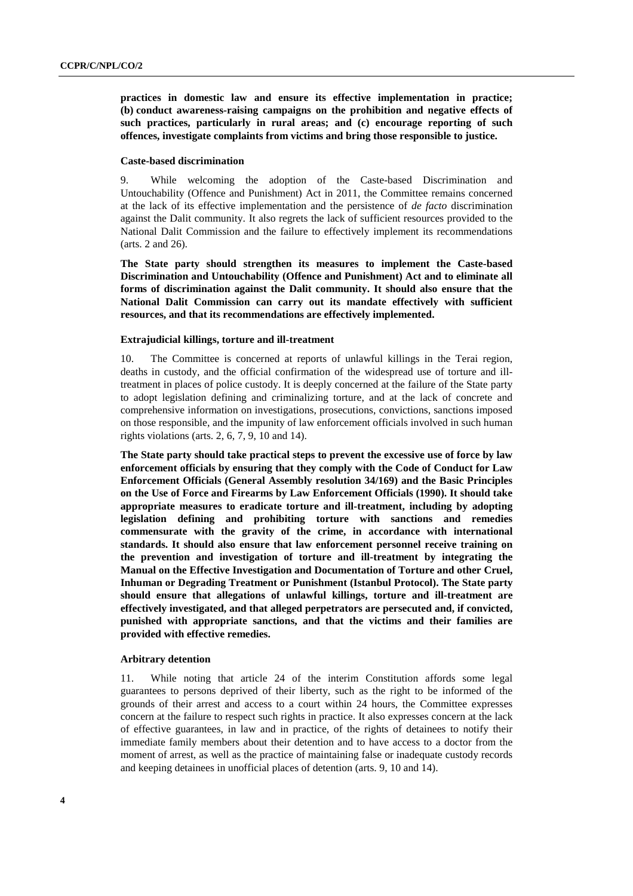**practices in domestic law and ensure its effective implementation in practice; (b) conduct awareness-raising campaigns on the prohibition and negative effects of such practices, particularly in rural areas; and (c) encourage reporting of such offences, investigate complaints from victims and bring those responsible to justice.** 

#### **Caste-based discrimination**

9. While welcoming the adoption of the Caste-based Discrimination and Untouchability (Offence and Punishment) Act in 2011, the Committee remains concerned at the lack of its effective implementation and the persistence of *de facto* discrimination against the Dalit community. It also regrets the lack of sufficient resources provided to the National Dalit Commission and the failure to effectively implement its recommendations (arts. 2 and 26).

**The State party should strengthen its measures to implement the Caste-based Discrimination and Untouchability (Offence and Punishment) Act and to eliminate all forms of discrimination against the Dalit community. It should also ensure that the National Dalit Commission can carry out its mandate effectively with sufficient resources, and that its recommendations are effectively implemented.** 

#### **Extrajudicial killings, torture and ill-treatment**

10. The Committee is concerned at reports of unlawful killings in the Terai region, deaths in custody, and the official confirmation of the widespread use of torture and illtreatment in places of police custody. It is deeply concerned at the failure of the State party to adopt legislation defining and criminalizing torture, and at the lack of concrete and comprehensive information on investigations, prosecutions, convictions, sanctions imposed on those responsible, and the impunity of law enforcement officials involved in such human rights violations (arts.  $2, 6, 7, 9, 10$  and 14).

**The State party should take practical steps to prevent the excessive use of force by law enforcement officials by ensuring that they comply with the Code of Conduct for Law Enforcement Officials (General Assembly resolution 34/169) and the Basic Principles on the Use of Force and Firearms by Law Enforcement Officials (1990). It should take appropriate measures to eradicate torture and ill-treatment, including by adopting legislation defining and prohibiting torture with sanctions and remedies commensurate with the gravity of the crime, in accordance with international standards. It should also ensure that law enforcement personnel receive training on the prevention and investigation of torture and ill-treatment by integrating the Manual on the Effective Investigation and Documentation of Torture and other Cruel, Inhuman or Degrading Treatment or Punishment (Istanbul Protocol). The State party should ensure that allegations of unlawful killings, torture and ill-treatment are effectively investigated, and that alleged perpetrators are persecuted and, if convicted, punished with appropriate sanctions, and that the victims and their families are provided with effective remedies.** 

#### **Arbitrary detention**

11. While noting that article 24 of the interim Constitution affords some legal guarantees to persons deprived of their liberty, such as the right to be informed of the grounds of their arrest and access to a court within 24 hours, the Committee expresses concern at the failure to respect such rights in practice. It also expresses concern at the lack of effective guarantees, in law and in practice, of the rights of detainees to notify their immediate family members about their detention and to have access to a doctor from the moment of arrest, as well as the practice of maintaining false or inadequate custody records and keeping detainees in unofficial places of detention (arts. 9, 10 and 14).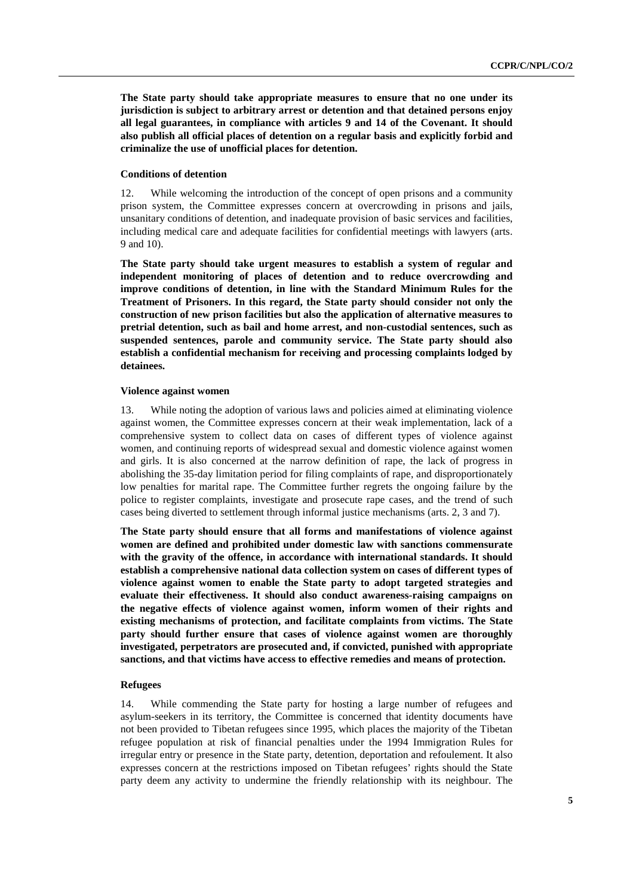**The State party should take appropriate measures to ensure that no one under its jurisdiction is subject to arbitrary arrest or detention and that detained persons enjoy all legal guarantees, in compliance with articles 9 and 14 of the Covenant. It should also publish all official places of detention on a regular basis and explicitly forbid and criminalize the use of unofficial places for detention.** 

#### **Conditions of detention**

12. While welcoming the introduction of the concept of open prisons and a community prison system, the Committee expresses concern at overcrowding in prisons and jails, unsanitary conditions of detention, and inadequate provision of basic services and facilities, including medical care and adequate facilities for confidential meetings with lawyers (arts. 9 and 10).

**The State party should take urgent measures to establish a system of regular and independent monitoring of places of detention and to reduce overcrowding and improve conditions of detention, in line with the Standard Minimum Rules for the Treatment of Prisoners. In this regard, the State party should consider not only the construction of new prison facilities but also the application of alternative measures to pretrial detention, such as bail and home arrest, and non-custodial sentences, such as suspended sentences, parole and community service. The State party should also establish a confidential mechanism for receiving and processing complaints lodged by detainees.** 

#### **Violence against women**

13. While noting the adoption of various laws and policies aimed at eliminating violence against women, the Committee expresses concern at their weak implementation, lack of a comprehensive system to collect data on cases of different types of violence against women, and continuing reports of widespread sexual and domestic violence against women and girls. It is also concerned at the narrow definition of rape, the lack of progress in abolishing the 35-day limitation period for filing complaints of rape, and disproportionately low penalties for marital rape. The Committee further regrets the ongoing failure by the police to register complaints, investigate and prosecute rape cases, and the trend of such cases being diverted to settlement through informal justice mechanisms (arts. 2, 3 and 7).

**The State party should ensure that all forms and manifestations of violence against women are defined and prohibited under domestic law with sanctions commensurate with the gravity of the offence, in accordance with international standards. It should establish a comprehensive national data collection system on cases of different types of violence against women to enable the State party to adopt targeted strategies and evaluate their effectiveness. It should also conduct awareness-raising campaigns on the negative effects of violence against women, inform women of their rights and existing mechanisms of protection, and facilitate complaints from victims. The State party should further ensure that cases of violence against women are thoroughly investigated, perpetrators are prosecuted and, if convicted, punished with appropriate sanctions, and that victims have access to effective remedies and means of protection.** 

#### **Refugees**

14. While commending the State party for hosting a large number of refugees and asylum-seekers in its territory, the Committee is concerned that identity documents have not been provided to Tibetan refugees since 1995, which places the majority of the Tibetan refugee population at risk of financial penalties under the 1994 Immigration Rules for irregular entry or presence in the State party, detention, deportation and refoulement. It also expresses concern at the restrictions imposed on Tibetan refugees' rights should the State party deem any activity to undermine the friendly relationship with its neighbour. The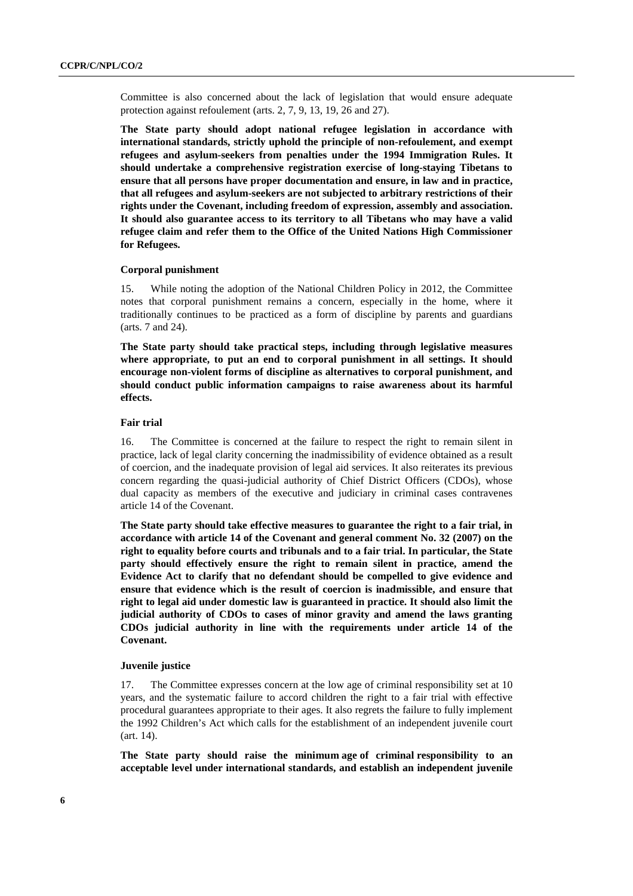Committee is also concerned about the lack of legislation that would ensure adequate protection against refoulement (arts. 2, 7, 9, 13, 19, 26 and 27).

**The State party should adopt national refugee legislation in accordance with international standards, strictly uphold the principle of non-refoulement, and exempt refugees and asylum-seekers from penalties under the 1994 Immigration Rules. It should undertake a comprehensive registration exercise of long-staying Tibetans to ensure that all persons have proper documentation and ensure, in law and in practice, that all refugees and asylum-seekers are not subjected to arbitrary restrictions of their rights under the Covenant, including freedom of expression, assembly and association. It should also guarantee access to its territory to all Tibetans who may have a valid refugee claim and refer them to the Office of the United Nations High Commissioner for Refugees.** 

#### **Corporal punishment**

15. While noting the adoption of the National Children Policy in 2012, the Committee notes that corporal punishment remains a concern, especially in the home, where it traditionally continues to be practiced as a form of discipline by parents and guardians (arts. 7 and 24).

**The State party should take practical steps, including through legislative measures where appropriate, to put an end to corporal punishment in all settings. It should encourage non-violent forms of discipline as alternatives to corporal punishment, and should conduct public information campaigns to raise awareness about its harmful effects.** 

#### **Fair trial**

16. The Committee is concerned at the failure to respect the right to remain silent in practice, lack of legal clarity concerning the inadmissibility of evidence obtained as a result of coercion, and the inadequate provision of legal aid services. It also reiterates its previous concern regarding the quasi-judicial authority of Chief District Officers (CDOs), whose dual capacity as members of the executive and judiciary in criminal cases contravenes article 14 of the Covenant.

**The State party should take effective measures to guarantee the right to a fair trial, in accordance with article 14 of the Covenant and general comment No. 32 (2007) on the right to equality before courts and tribunals and to a fair trial. In particular, the State party should effectively ensure the right to remain silent in practice, amend the Evidence Act to clarify that no defendant should be compelled to give evidence and ensure that evidence which is the result of coercion is inadmissible, and ensure that right to legal aid under domestic law is guaranteed in practice. It should also limit the judicial authority of CDOs to cases of minor gravity and amend the laws granting CDOs judicial authority in line with the requirements under article 14 of the Covenant.** 

#### **Juvenile justice**

17. The Committee expresses concern at the low age of criminal responsibility set at 10 years, and the systematic failure to accord children the right to a fair trial with effective procedural guarantees appropriate to their ages. It also regrets the failure to fully implement the 1992 Children's Act which calls for the establishment of an independent juvenile court (art. 14).

**The State party should raise the minimum age of criminal responsibility to an acceptable level under international standards, and establish an independent juvenile**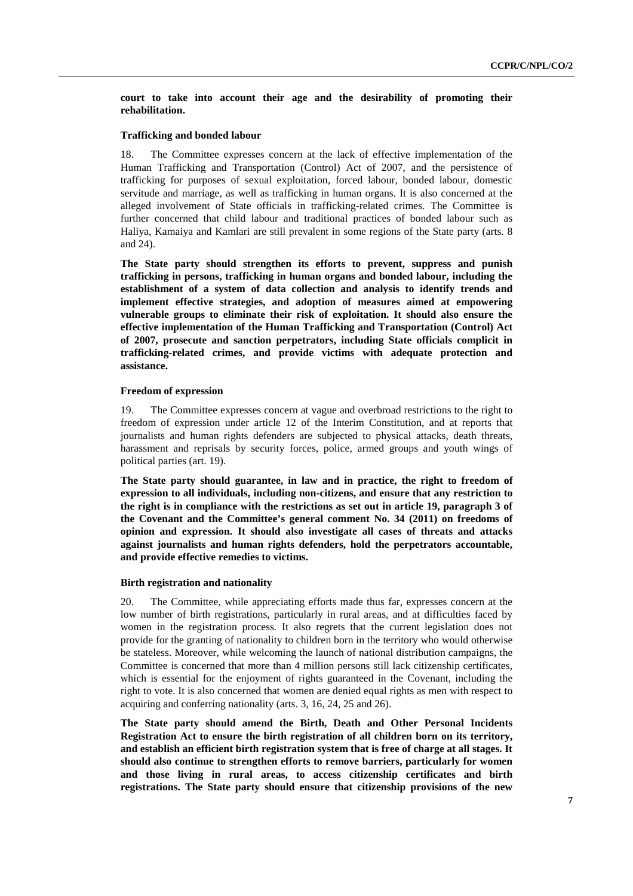**court to take into account their age and the desirability of promoting their rehabilitation.** 

#### **Trafficking and bonded labour**

18. The Committee expresses concern at the lack of effective implementation of the Human Trafficking and Transportation (Control) Act of 2007, and the persistence of trafficking for purposes of sexual exploitation, forced labour, bonded labour, domestic servitude and marriage, as well as trafficking in human organs. It is also concerned at the alleged involvement of State officials in trafficking-related crimes. The Committee is further concerned that child labour and traditional practices of bonded labour such as Haliya, Kamaiya and Kamlari are still prevalent in some regions of the State party (arts. 8 and 24).

**The State party should strengthen its efforts to prevent, suppress and punish trafficking in persons, trafficking in human organs and bonded labour, including the establishment of a system of data collection and analysis to identify trends and implement effective strategies, and adoption of measures aimed at empowering vulnerable groups to eliminate their risk of exploitation. It should also ensure the effective implementation of the Human Trafficking and Transportation (Control) Act of 2007, prosecute and sanction perpetrators, including State officials complicit in trafficking-related crimes, and provide victims with adequate protection and assistance.** 

#### **Freedom of expression**

19. The Committee expresses concern at vague and overbroad restrictions to the right to freedom of expression under article 12 of the Interim Constitution, and at reports that journalists and human rights defenders are subjected to physical attacks, death threats, harassment and reprisals by security forces, police, armed groups and youth wings of political parties (art. 19).

**The State party should guarantee, in law and in practice, the right to freedom of expression to all individuals, including non-citizens, and ensure that any restriction to the right is in compliance with the restrictions as set out in article 19, paragraph 3 of the Covenant and the Committee's general comment No. 34 (2011) on freedoms of opinion and expression. It should also investigate all cases of threats and attacks against journalists and human rights defenders, hold the perpetrators accountable, and provide effective remedies to victims.** 

#### **Birth registration and nationality**

20. The Committee, while appreciating efforts made thus far, expresses concern at the low number of birth registrations, particularly in rural areas, and at difficulties faced by women in the registration process. It also regrets that the current legislation does not provide for the granting of nationality to children born in the territory who would otherwise be stateless. Moreover, while welcoming the launch of national distribution campaigns, the Committee is concerned that more than 4 million persons still lack citizenship certificates, which is essential for the enjoyment of rights guaranteed in the Covenant, including the right to vote. It is also concerned that women are denied equal rights as men with respect to acquiring and conferring nationality (arts. 3, 16, 24, 25 and 26).

**The State party should amend the Birth, Death and Other Personal Incidents Registration Act to ensure the birth registration of all children born on its territory, and establish an efficient birth registration system that is free of charge at all stages. It should also continue to strengthen efforts to remove barriers, particularly for women and those living in rural areas, to access citizenship certificates and birth registrations. The State party should ensure that citizenship provisions of the new**